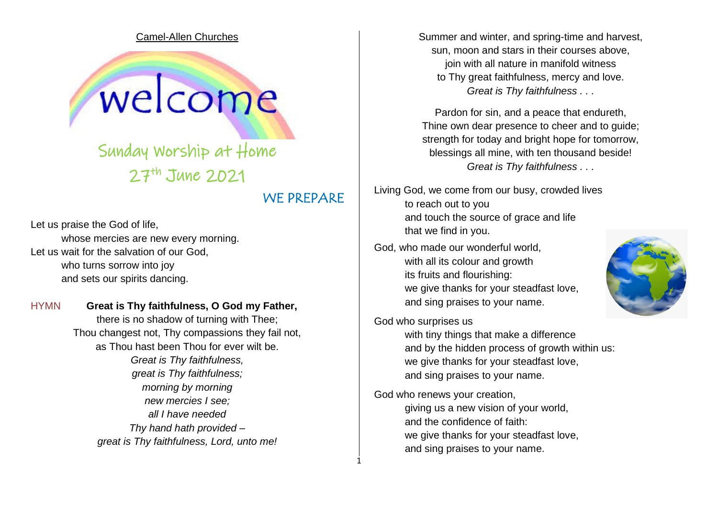Camel-Allen Churches

welcome

Sunday Worship at Home 27<sup>th</sup> June 2021

# WE PREPARE

Let us praise the God of life, whose mercies are new every morning. Let us wait for the salvation of our God, who turns sorrow into joy and sets our spirits dancing.

HYMN **Great is Thy faithfulness, O God my Father,** there is no shadow of turning with Thee; Thou changest not, Thy compassions they fail not, as Thou hast been Thou for ever wilt be. *Great is Thy faithfulness, great is Thy faithfulness; morning by morning new mercies I see; all I have needed Thy hand hath provided – great is Thy faithfulness, Lord, unto me!*

Summer and winter, and spring-time and harvest, sun, moon and stars in their courses above, join with all nature in manifold witness to Thy great faithfulness, mercy and love. *Great is Thy faithfulness . . .*

Pardon for sin, and a peace that endureth, Thine own dear presence to cheer and to guide; strength for today and bright hope for tomorrow, blessings all mine, with ten thousand beside! *Great is Thy faithfulness . . .*

Living God, we come from our busy, crowded lives to reach out to you and touch the source of grace and life that we find in you.

God, who made our wonderful world, with all its colour and growth its fruits and flourishing: we give thanks for your steadfast love, and sing praises to your name.



God who surprises us

1

with tiny things that make a difference and by the hidden process of growth within us: we give thanks for your steadfast love, and sing praises to your name.

God who renews your creation,

giving us a new vision of your world, and the confidence of faith: we give thanks for your steadfast love, and sing praises to your name.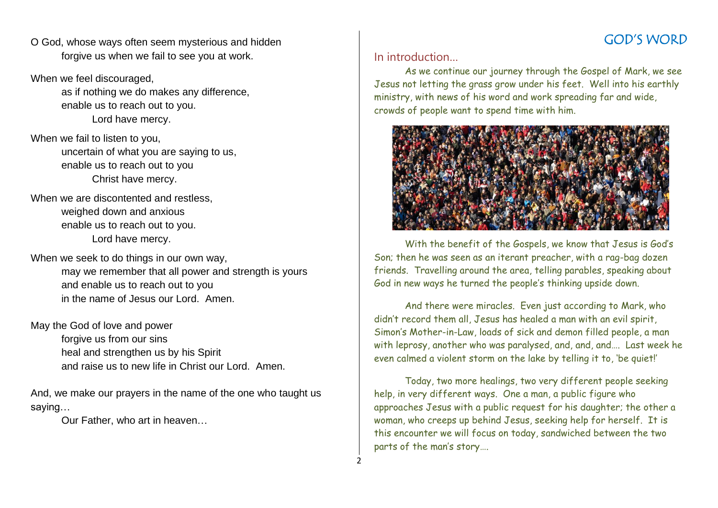O God, whose ways often seem mysterious and hidden forgive us when we fail to see you at work.

When we feel discouraged, as if nothing we do makes any difference, enable us to reach out to you. Lord have mercy.

When we fail to listen to you, uncertain of what you are saying to us, enable us to reach out to you Christ have mercy.

When we are discontented and restless. weighed down and anxious enable us to reach out to you. Lord have mercy.

When we seek to do things in our own way, may we remember that all power and strength is yours and enable us to reach out to you in the name of Jesus our Lord. Amen.

May the God of love and power forgive us from our sins heal and strengthen us by his Spirit and raise us to new life in Christ our Lord. Amen.

And, we make our prayers in the name of the one who taught us saying…

Our Father, who art in heaven…

# GOD'S WORD

In introduction…

2

As we continue our journey through the Gospel of Mark, we see Jesus not letting the grass grow under his feet. Well into his earthly ministry, with news of his word and work spreading far and wide, crowds of people want to spend time with him.



With the benefit of the Gospels, we know that Jesus is God's Son; then he was seen as an iterant preacher, with a rag-bag dozen friends. Travelling around the area, telling parables, speaking about God in new ways he turned the people's thinking upside down.

And there were miracles. Even just according to Mark, who didn't record them all, Jesus has healed a man with an evil spirit, Simon's Mother-in-Law, loads of sick and demon filled people, a man with leprosy, another who was paralysed, and, and, and…. Last week he even calmed a violent storm on the lake by telling it to, 'be quiet!'

Today, two more healings, two very different people seeking help, in very different ways. One a man, a public figure who approaches Jesus with a public request for his daughter; the other a woman, who creeps up behind Jesus, seeking help for herself. It is this encounter we will focus on today, sandwiched between the two parts of the man's story….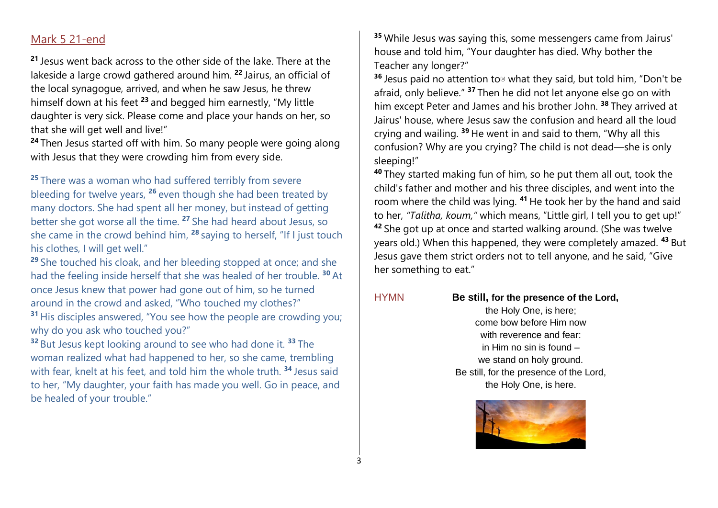#### Mark 5 21-end

**<sup>21</sup>** Jesus went back across to the other side of the lake. There at the lakeside a large crowd gathered around him. **<sup>22</sup>** Jairus, an official of the local synagogue, arrived, and when he saw Jesus, he threw himself down at his feet **<sup>23</sup>** and begged him earnestly, "My little daughter is very sick. Please come and place your hands on her, so that she will get well and live!"

<sup>24</sup> Then Jesus started off with him. So many people were going along with Jesus that they were crowding him from every side.

**<sup>25</sup>** There was a woman who had suffered terribly from severe bleeding for twelve years, **<sup>26</sup>** even though she had been treated by many doctors. She had spent all her money, but instead of getting better she got worse all the time. **<sup>27</sup>** She had heard about Jesus, so she came in the crowd behind him, **<sup>28</sup>** saying to herself, "If I just touch his clothes, I will get well."

**<sup>29</sup>** She touched his cloak, and her bleeding stopped at once; and she had the feeling inside herself that she was healed of her trouble. **<sup>30</sup>** At once Jesus knew that power had gone out of him, so he turned around in the crowd and asked, "Who touched my clothes?"

**<sup>31</sup>** His disciples answered, "You see how the people are crowding you; why do you ask who touched you?"

**<sup>32</sup>** But Jesus kept looking around to see who had done it. **<sup>33</sup>** The woman realized what had happened to her, so she came, trembling with fear, knelt at his feet, and told him the whole truth. **<sup>34</sup>** Jesus said to her, "My daughter, your faith has made you well. Go in peace, and be healed of your trouble."

**<sup>35</sup>** While Jesus was saying this, some messengers came from Jairus' house and told him, "Your daughter has died. Why bother the Teacher any longer?"

**36** Jesus paid no attention to verther they said, but told him, "Don't be afraid, only believe." **<sup>37</sup>** Then he did not let anyone else go on with him except Peter and James and his brother John. **<sup>38</sup>** They arrived at Jairus' house, where Jesus saw the confusion and heard all the loud crying and wailing. **<sup>39</sup>** He went in and said to them, "Why all this confusion? Why are you crying? The child is not dead—she is only sleeping!"

**<sup>40</sup>** They started making fun of him, so he put them all out, took the child's father and mother and his three disciples, and went into the room where the child was lying. **<sup>41</sup>** He took her by the hand and said to her, *"Talitha, koum,"* which means, "Little girl, I tell you to get up!" **<sup>42</sup>** She got up at once and started walking around. (She was twelve years old.) When this happened, they were completely amazed. **<sup>43</sup>** But Jesus gave them strict orders not to tell anyone, and he said, "Give her something to eat."

HYMN **Be still, for the presence of the Lord,**

the Holy One, is here; come bow before Him now with reverence and fear: in Him no sin is found – we stand on holy ground. Be still, for the presence of the Lord, the Holy One, is here.

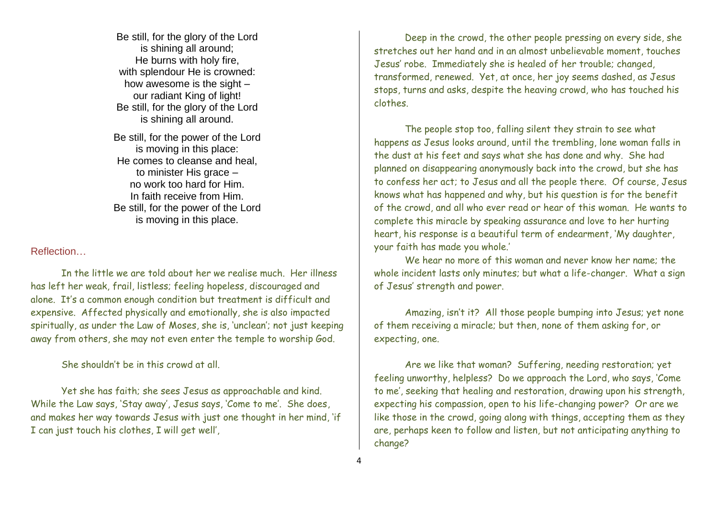Be still, for the glory of the Lord is shining all around; He burns with holy fire, with splendour He is crowned: how awesome is the sight – our radiant King of light! Be still, for the glory of the Lord is shining all around.

Be still, for the power of the Lord is moving in this place: He comes to cleanse and heal, to minister His grace – no work too hard for Him. In faith receive from Him. Be still, for the power of the Lord is moving in this place.

#### Reflection…

In the little we are told about her we realise much. Her illness has left her weak, frail, listless; feeling hopeless, discouraged and alone. It's a common enough condition but treatment is difficult and expensive. Affected physically and emotionally, she is also impacted spiritually, as under the Law of Moses, she is, 'unclean'; not just keeping away from others, she may not even enter the temple to worship God.

She shouldn't be in this crowd at all.

Yet she has faith; she sees Jesus as approachable and kind. While the Law says, 'Stay away', Jesus says, 'Come to me'. She does, and makes her way towards Jesus with just one thought in her mind, 'if I can just touch his clothes, I will get well',

Deep in the crowd, the other people pressing on every side, she stretches out her hand and in an almost unbelievable moment, touches Jesus' robe. Immediately she is healed of her trouble; changed, transformed, renewed. Yet, at once, her joy seems dashed, as Jesus stops, turns and asks, despite the heaving crowd, who has touched his clothes.

The people stop too, falling silent they strain to see what happens as Jesus looks around, until the trembling, lone woman falls in the dust at his feet and says what she has done and why. She had planned on disappearing anonymously back into the crowd, but she has to confess her act; to Jesus and all the people there. Of course, Jesus knows what has happened and why, but his question is for the benefit of the crowd, and all who ever read or hear of this woman. He wants to complete this miracle by speaking assurance and love to her hurting heart, his response is a beautiful term of endearment, 'My daughter, your faith has made you whole.'

We hear no more of this woman and never know her name; the whole incident lasts only minutes; but what a life-changer. What a sign of Jesus' strength and power.

Amazing, isn't it? All those people bumping into Jesus; yet none of them receiving a miracle; but then, none of them asking for, or expecting, one.

Are we like that woman? Suffering, needing restoration; yet feeling unworthy, helpless? Do we approach the Lord, who says, 'Come to me', seeking that healing and restoration, drawing upon his strength, expecting his compassion, open to his life-changing power? Or are we like those in the crowd, going along with things, accepting them as they are, perhaps keen to follow and listen, but not anticipating anything to change?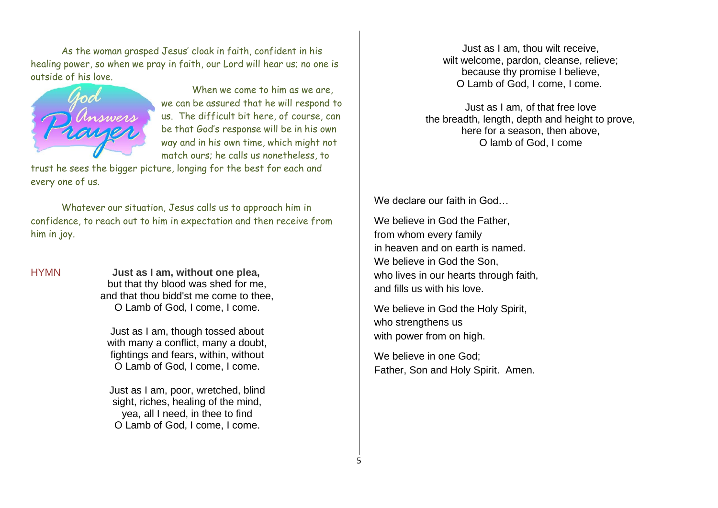As the woman grasped Jesus' cloak in faith, confident in his healing power, so when we pray in faith, our Lord will hear us; no one is outside of his love.



When we come to him as we are. we can be assured that he will respond to us. The difficult bit here, of course, can be that God's response will be in his own way and in his own time, which might not match ours; he calls us nonetheless, to

trust he sees the bigger picture, longing for the best for each and every one of us.

Whatever our situation, Jesus calls us to approach him in confidence, to reach out to him in expectation and then receive from him in joy.

HYMN **Just as I am, without one plea,** but that thy blood was shed for me, and that thou bidd'st me come to thee, O Lamb of God, I come, I come.

> Just as I am, though tossed about with many a conflict, many a doubt, fightings and fears, within, without O Lamb of God, I come, I come.

Just as I am, poor, wretched, blind sight, riches, healing of the mind, yea, all I need, in thee to find O Lamb of God, I come, I come.

Just as I am, thou wilt receive, wilt welcome, pardon, cleanse, relieve; because thy promise I believe, O Lamb of God, I come, I come.

Just as I am, of that free love the breadth, length, depth and height to prove, here for a season, then above, O lamb of God, I come

We declare our faith in God…

We believe in God the Father. from whom every family in heaven and on earth is named. We believe in God the Son. who lives in our hearts through faith, and fills us with his love.

We believe in God the Holy Spirit, who strengthens us with power from on high.

We believe in one God; Father, Son and Holy Spirit. Amen.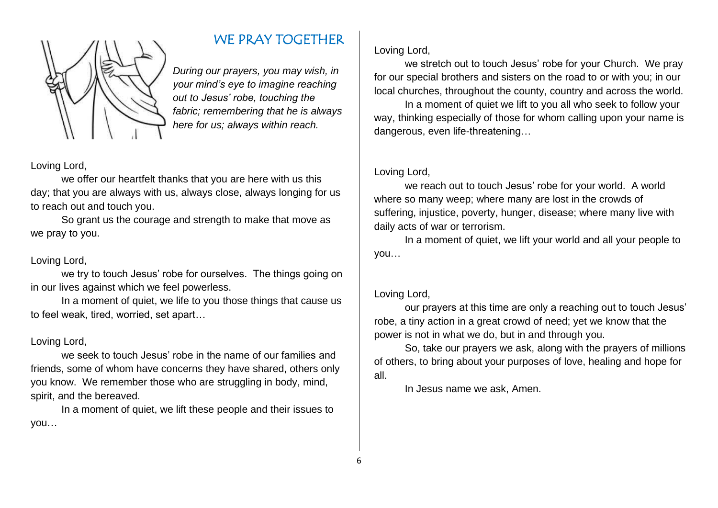

# WE PRAY TOGETHER

*During our prayers, you may wish, in your mind's eye to imagine reaching out to Jesus' robe, touching the fabric; remembering that he is always here for us; always within reach.*

Loving Lord,

we offer our heartfelt thanks that you are here with us this day; that you are always with us, always close, always longing for us to reach out and touch you.

So grant us the courage and strength to make that move as we pray to you.

#### Loving Lord,

we try to touch Jesus' robe for ourselves. The things going on in our lives against which we feel powerless.

In a moment of quiet, we life to you those things that cause us to feel weak, tired, worried, set apart…

#### Loving Lord,

we seek to touch Jesus' robe in the name of our families and friends, some of whom have concerns they have shared, others only you know. We remember those who are struggling in body, mind, spirit, and the bereaved.

In a moment of quiet, we lift these people and their issues to you…

#### Loving Lord,

we stretch out to touch Jesus' robe for your Church. We pray for our special brothers and sisters on the road to or with you; in our local churches, throughout the county, country and across the world.

In a moment of quiet we lift to you all who seek to follow your way, thinking especially of those for whom calling upon your name is dangerous, even life-threatening…

### Loving Lord,

we reach out to touch Jesus' robe for your world. A world where so many weep; where many are lost in the crowds of suffering, injustice, poverty, hunger, disease; where many live with daily acts of war or terrorism.

In a moment of quiet, we lift your world and all your people to you…

#### Loving Lord,

our prayers at this time are only a reaching out to touch Jesus' robe, a tiny action in a great crowd of need; yet we know that the power is not in what we do, but in and through you.

So, take our prayers we ask, along with the prayers of millions of others, to bring about your purposes of love, healing and hope for all.

In Jesus name we ask, Amen.